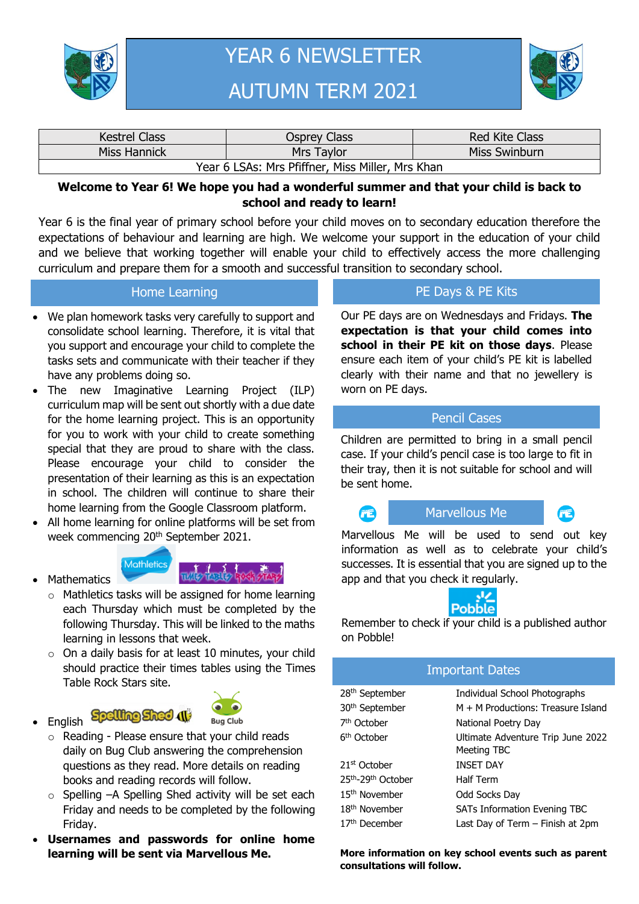

# YEAR 6 NEWSLETTER AUTUMN TERM 2021



| <b>Kestrel Class</b>                             | Osprey Class | <b>Red Kite Class</b> |
|--------------------------------------------------|--------------|-----------------------|
| Miss Hannick                                     | Mrs Taylor   | Miss Swinburn         |
| Year 6 LSAs: Mrs Pfiffner, Miss Miller, Mrs Khan |              |                       |

#### **Welcome to Year 6! We hope you had a wonderful summer and that your child is back to school and ready to learn!**

Year 6 is the final year of primary school before your child moves on to secondary education therefore the expectations of behaviour and learning are high. We welcome your support in the education of your child and we believe that working together will enable your child to effectively access the more challenging curriculum and prepare them for a smooth and successful transition to secondary school.

#### Home Learning

- We plan homework tasks very carefully to support and consolidate school learning. Therefore, it is vital that you support and encourage your child to complete the tasks sets and communicate with their teacher if they have any problems doing so.
- The new Imaginative Learning Project (ILP) curriculum map will be sent out shortly with a due date for the home learning project. This is an opportunity for you to work with your child to create something special that they are proud to share with the class. Please encourage your child to consider the presentation of their learning as this is an expectation in school. The children will continue to share their home learning from the Google Classroom platform.
- All home learning for online platforms will be set from week commencing 20<sup>th</sup> September 2021.





- o Mathletics tasks will be assigned for home learning each Thursday which must be completed by the following Thursday. This will be linked to the maths learning in lessons that week.
- $\circ$  On a daily basis for at least 10 minutes, your child should practice their times tables using the Times Table Rock Stars site.
- English Spelling Sheet (1)

**Mathematics** 



- o Reading Please ensure that your child reads daily on Bug Club answering the comprehension questions as they read. More details on reading books and reading records will follow.
- o Spelling –A Spelling Shed activity will be set each Friday and needs to be completed by the following Friday.
- **Usernames and passwords for online home learning will be sent via Marvellous Me.**

## PE Days & PE Kits

Our PE days are on Wednesdays and Fridays. **The expectation is that your child comes into school in their PE kit on those days**. Please ensure each item of your child's PE kit is labelled clearly with their name and that no jewellery is worn on PE days.

#### Pencil Cases

Children are permitted to bring in a small pencil case. If your child's pencil case is too large to fit in their tray, then it is not suitable for school and will be sent home.

**PARTIES** 





Marvellous Me will be used to send out key information as well as to celebrate your child's successes. It is essential that you are signed up to the app and that you check it regularly.



Remember to check if your child is a published author on Pobble!

### Important Dates

| 28 <sup>th</sup> September | Individual School Photographs                    |
|----------------------------|--------------------------------------------------|
| 30 <sup>th</sup> September | M + M Productions: Treasure Island               |
| 7 <sup>th</sup> October    | National Poetry Day                              |
| 6 <sup>th</sup> October    | Ultimate Adventure Trip June 2022<br>Meeting TBC |
| 21 <sup>st</sup> October   | <b>INSET DAY</b>                                 |
| 25th-29th October          | <b>Half Term</b>                                 |
| 15 <sup>th</sup> November  | Odd Socks Day                                    |
| 18 <sup>th</sup> November  | <b>SATs Information Evening TBC</b>              |
| 17 <sup>th</sup> December  | Last Day of Term – Finish at 2pm                 |

**More information on key school events such as parent consultations will follow.**